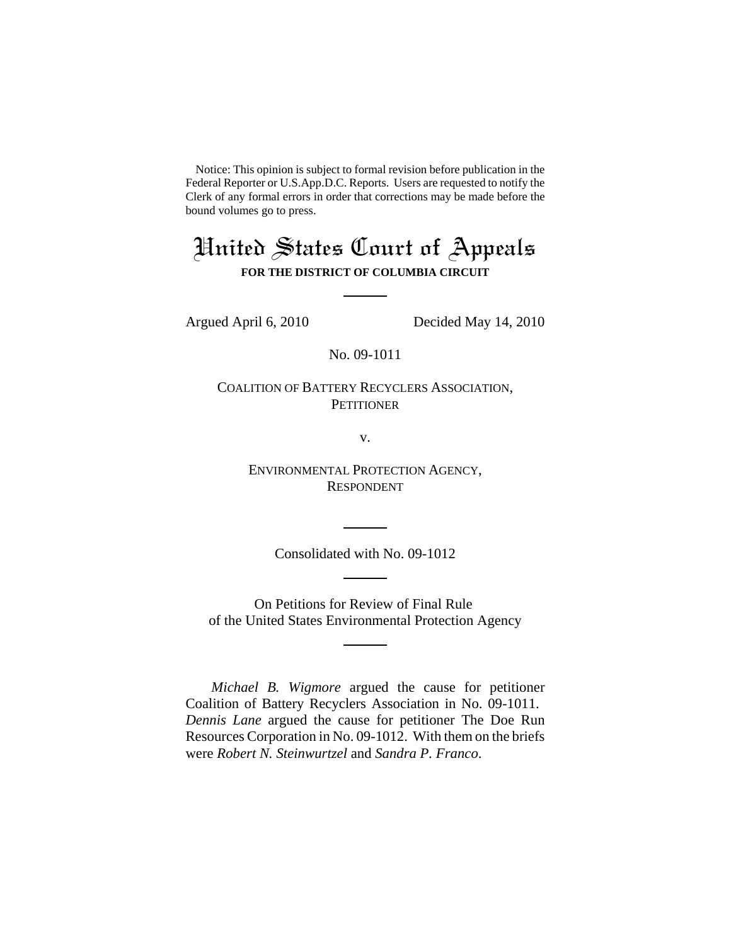Notice: This opinion is subject to formal revision before publication in the Federal Reporter or U.S.App.D.C. Reports. Users are requested to notify the Clerk of any formal errors in order that corrections may be made before the bound volumes go to press.

# United States Court of Appeals **FOR THE DISTRICT OF COLUMBIA CIRCUIT**

Argued April 6, 2010 Decided May 14, 2010

No. 09-1011

COALITION OF BATTERY RECYCLERS ASSOCIATION, **PETITIONER** 

v.

ENVIRONMENTAL PROTECTION AGENCY, RESPONDENT

Consolidated with No. 09-1012

On Petitions for Review of Final Rule of the United States Environmental Protection Agency

*Michael B. Wigmore* argued the cause for petitioner Coalition of Battery Recyclers Association in No. 09-1011. *Dennis Lane* argued the cause for petitioner The Doe Run Resources Corporation in No. 09-1012. With them on the briefs were *Robert N. Steinwurtzel* and *Sandra P. Franco*.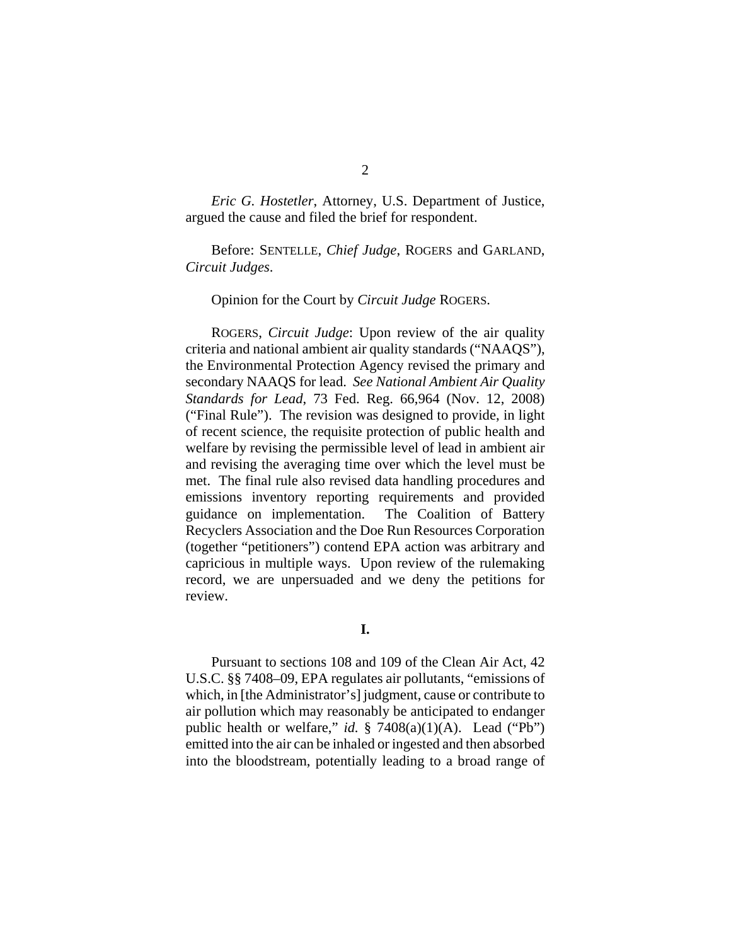*Eric G. Hostetler*, Attorney, U.S. Department of Justice, argued the cause and filed the brief for respondent.

Before: SENTELLE, *Chief Judge*, ROGERS and GARLAND, *Circuit Judges*.

Opinion for the Court by *Circuit Judge* ROGERS.

ROGERS, *Circuit Judge*: Upon review of the air quality criteria and national ambient air quality standards ("NAAQS"), the Environmental Protection Agency revised the primary and secondary NAAQS for lead. *See National Ambient Air Quality Standards for Lead*, 73 Fed. Reg. 66,964 (Nov. 12, 2008) ("Final Rule"). The revision was designed to provide, in light of recent science, the requisite protection of public health and welfare by revising the permissible level of lead in ambient air and revising the averaging time over which the level must be met. The final rule also revised data handling procedures and emissions inventory reporting requirements and provided guidance on implementation. The Coalition of Battery Recyclers Association and the Doe Run Resources Corporation (together "petitioners") contend EPA action was arbitrary and capricious in multiple ways. Upon review of the rulemaking record, we are unpersuaded and we deny the petitions for review.

**I.**

Pursuant to sections 108 and 109 of the Clean Air Act, 42 U.S.C. §§ 7408–09, EPA regulates air pollutants, "emissions of which, in [the Administrator's] judgment, cause or contribute to air pollution which may reasonably be anticipated to endanger public health or welfare," *id.* § 7408(a)(1)(A). Lead ("Pb") emitted into the air can be inhaled or ingested and then absorbed into the bloodstream, potentially leading to a broad range of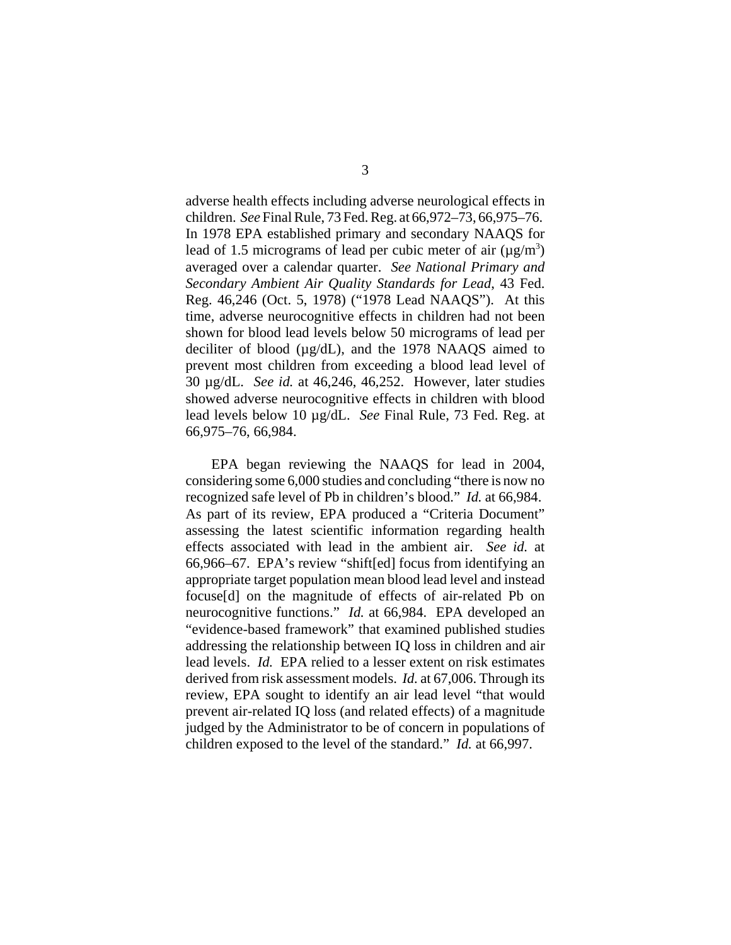adverse health effects including adverse neurological effects in children. *See* Final Rule, 73 Fed. Reg. at 66,972–73, 66,975–76. In 1978 EPA established primary and secondary NAAQS for lead of 1.5 micrograms of lead per cubic meter of air  $(\mu g/m^3)$ averaged over a calendar quarter. *See National Primary and Secondary Ambient Air Quality Standards for Lead*, 43 Fed. Reg. 46,246 (Oct. 5, 1978) ("1978 Lead NAAQS"). At this time, adverse neurocognitive effects in children had not been shown for blood lead levels below 50 micrograms of lead per deciliter of blood (µg/dL), and the 1978 NAAQS aimed to prevent most children from exceeding a blood lead level of 30 µg/dL. *See id.* at 46,246, 46,252. However, later studies showed adverse neurocognitive effects in children with blood lead levels below 10 µg/dL. *See* Final Rule, 73 Fed. Reg. at 66,975–76, 66,984.

EPA began reviewing the NAAQS for lead in 2004, considering some 6,000 studies and concluding "there is now no recognized safe level of Pb in children's blood." *Id.* at 66,984. As part of its review, EPA produced a "Criteria Document" assessing the latest scientific information regarding health effects associated with lead in the ambient air. *See id.* at 66,966–67. EPA's review "shift[ed] focus from identifying an appropriate target population mean blood lead level and instead focuse[d] on the magnitude of effects of air-related Pb on neurocognitive functions." *Id.* at 66,984. EPA developed an "evidence-based framework" that examined published studies addressing the relationship between IQ loss in children and air lead levels. *Id.* EPA relied to a lesser extent on risk estimates derived from risk assessment models. *Id.* at 67,006. Through its review, EPA sought to identify an air lead level "that would prevent air-related IQ loss (and related effects) of a magnitude judged by the Administrator to be of concern in populations of children exposed to the level of the standard." *Id.* at 66,997.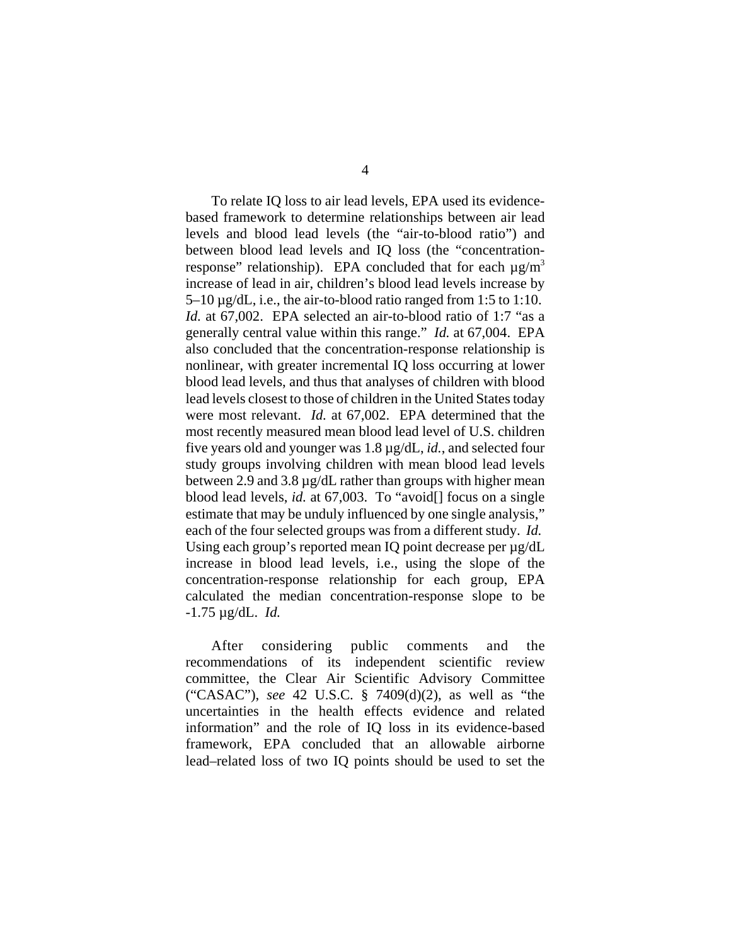To relate IQ loss to air lead levels, EPA used its evidencebased framework to determine relationships between air lead levels and blood lead levels (the "air-to-blood ratio") and between blood lead levels and IQ loss (the "concentrationresponse" relationship). EPA concluded that for each  $\mu$ g/m<sup>3</sup> increase of lead in air, children's blood lead levels increase by  $5-10 \mu$ g/dL, i.e., the air-to-blood ratio ranged from 1:5 to 1:10. *Id.* at 67,002. EPA selected an air-to-blood ratio of 1:7 "as a generally central value within this range." *Id.* at 67,004. EPA also concluded that the concentration-response relationship is nonlinear, with greater incremental IQ loss occurring at lower blood lead levels, and thus that analyses of children with blood lead levels closest to those of children in the United States today were most relevant. *Id.* at 67,002. EPA determined that the most recently measured mean blood lead level of U.S. children five years old and younger was 1.8 µg/dL, *id.*, and selected four study groups involving children with mean blood lead levels between 2.9 and 3.8 µg/dL rather than groups with higher mean blood lead levels, *id.* at 67,003. To "avoid[] focus on a single estimate that may be unduly influenced by one single analysis," each of the four selected groups was from a different study. *Id.* Using each group's reported mean IQ point decrease per  $\mu$ g/dL increase in blood lead levels, i.e., using the slope of the concentration-response relationship for each group, EPA calculated the median concentration-response slope to be -1.75 µg/dL. *Id.*

After considering public comments and the recommendations of its independent scientific review committee, the Clear Air Scientific Advisory Committee ("CASAC"), *see* 42 U.S.C. § 7409(d)(2), as well as "the uncertainties in the health effects evidence and related information" and the role of IQ loss in its evidence-based framework, EPA concluded that an allowable airborne lead–related loss of two IQ points should be used to set the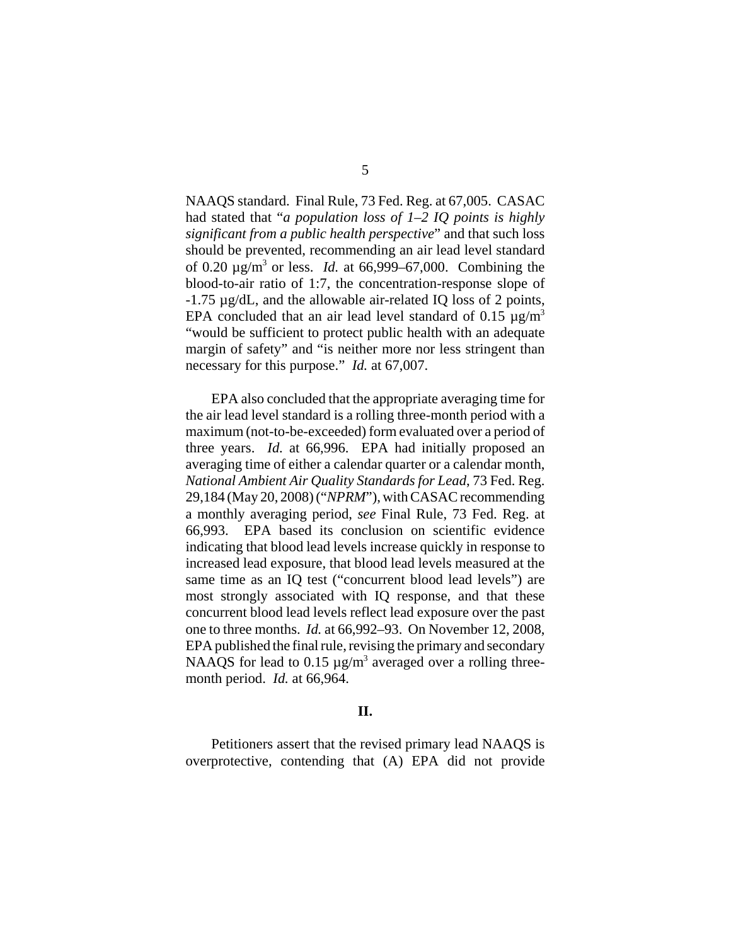NAAQS standard. Final Rule, 73 Fed. Reg. at 67,005. CASAC had stated that "*a population loss of 1–2 IQ points is highly significant from a public health perspective*" and that such loss should be prevented, recommending an air lead level standard of 0.20 µg/m3 or less. *Id.* at 66,999–67,000. Combining the blood-to-air ratio of 1:7, the concentration-response slope of -1.75 µg/dL, and the allowable air-related IQ loss of 2 points, EPA concluded that an air lead level standard of 0.15  $\mu$ g/m<sup>3</sup> "would be sufficient to protect public health with an adequate margin of safety" and "is neither more nor less stringent than necessary for this purpose." *Id.* at 67,007.

EPA also concluded that the appropriate averaging time for the air lead level standard is a rolling three-month period with a maximum (not-to-be-exceeded) form evaluated over a period of three years. *Id.* at 66,996. EPA had initially proposed an averaging time of either a calendar quarter or a calendar month, *National Ambient Air Quality Standards for Lead*, 73 Fed. Reg. 29,184 (May 20, 2008) ("*NPRM*"), with CASAC recommending a monthly averaging period, *see* Final Rule, 73 Fed. Reg. at 66,993. EPA based its conclusion on scientific evidence indicating that blood lead levels increase quickly in response to increased lead exposure, that blood lead levels measured at the same time as an IQ test ("concurrent blood lead levels") are most strongly associated with IQ response, and that these concurrent blood lead levels reflect lead exposure over the past one to three months. *Id.* at 66,992–93. On November 12, 2008, EPA published the final rule, revising the primary and secondary NAAQS for lead to 0.15  $\mu$ g/m<sup>3</sup> averaged over a rolling threemonth period. *Id.* at 66,964.

## **II.**

Petitioners assert that the revised primary lead NAAQS is overprotective, contending that (A) EPA did not provide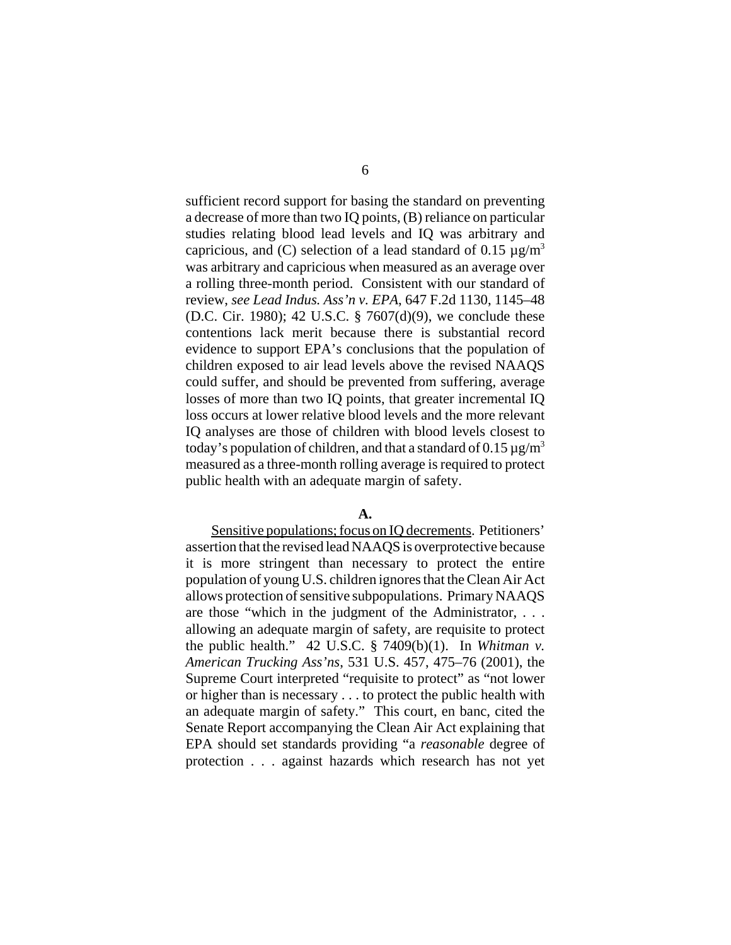sufficient record support for basing the standard on preventing a decrease of more than two IQ points, (B) reliance on particular studies relating blood lead levels and IQ was arbitrary and capricious, and (C) selection of a lead standard of 0.15  $\mu$ g/m<sup>3</sup> was arbitrary and capricious when measured as an average over a rolling three-month period. Consistent with our standard of review, *see Lead Indus. Ass'n v. EPA*, 647 F.2d 1130, 1145–48 (D.C. Cir. 1980); 42 U.S.C. § 7607(d)(9), we conclude these contentions lack merit because there is substantial record evidence to support EPA's conclusions that the population of children exposed to air lead levels above the revised NAAQS could suffer, and should be prevented from suffering, average losses of more than two IQ points, that greater incremental IQ loss occurs at lower relative blood levels and the more relevant IQ analyses are those of children with blood levels closest to today's population of children, and that a standard of 0.15  $\mu$ g/m<sup>3</sup> measured as a three-month rolling average is required to protect public health with an adequate margin of safety.

#### **A.**

Sensitive populations; focus on IQ decrements. Petitioners' assertion that the revised lead NAAQS is overprotective because it is more stringent than necessary to protect the entire population of young U.S. children ignores that the Clean Air Act allows protection of sensitive subpopulations. Primary NAAQS are those "which in the judgment of the Administrator, . . . allowing an adequate margin of safety, are requisite to protect the public health." 42 U.S.C. § 7409(b)(1). In *Whitman v. American Trucking Ass'ns*, 531 U.S. 457, 475–76 (2001), the Supreme Court interpreted "requisite to protect" as "not lower or higher than is necessary . . . to protect the public health with an adequate margin of safety." This court, en banc, cited the Senate Report accompanying the Clean Air Act explaining that EPA should set standards providing "a *reasonable* degree of protection . . . against hazards which research has not yet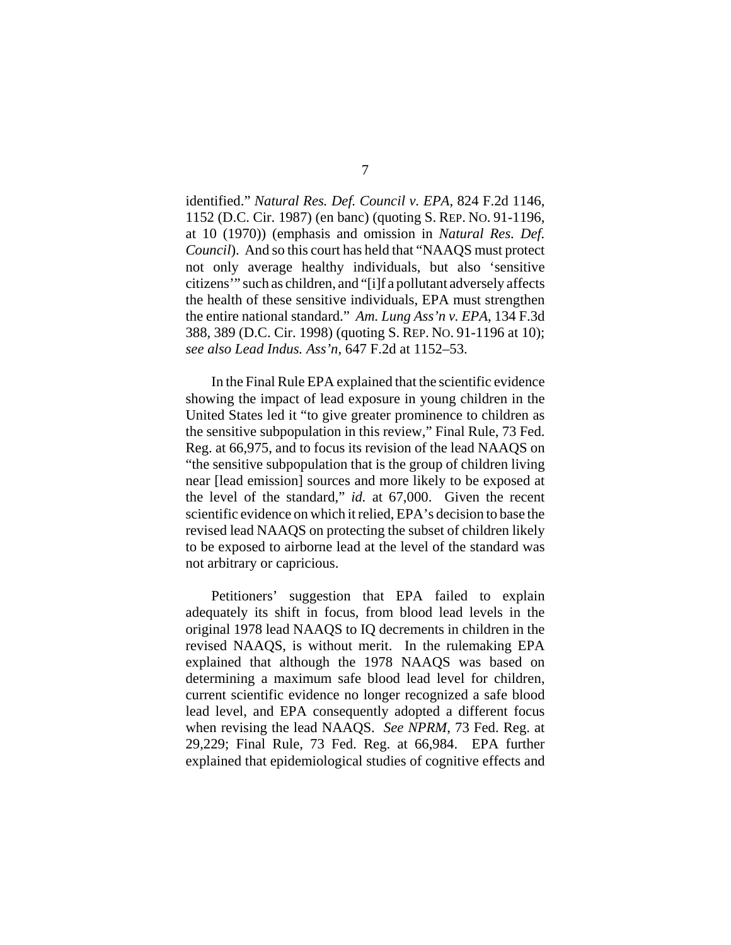identified." *Natural Res. Def. Council v. EPA*, 824 F.2d 1146, 1152 (D.C. Cir. 1987) (en banc) (quoting S. REP. NO. 91-1196, at 10 (1970)) (emphasis and omission in *Natural Res. Def. Council*). And so this court has held that "NAAQS must protect not only average healthy individuals, but also 'sensitive citizens'" such as children, and "[i]f a pollutant adversely affects the health of these sensitive individuals, EPA must strengthen the entire national standard." *Am. Lung Ass'n v. EPA*, 134 F.3d 388, 389 (D.C. Cir. 1998) (quoting S. REP. NO. 91-1196 at 10); *see also Lead Indus. Ass'n*, 647 F.2d at 1152–53.

In the Final Rule EPA explained that the scientific evidence showing the impact of lead exposure in young children in the United States led it "to give greater prominence to children as the sensitive subpopulation in this review," Final Rule, 73 Fed. Reg. at 66,975, and to focus its revision of the lead NAAQS on "the sensitive subpopulation that is the group of children living near [lead emission] sources and more likely to be exposed at the level of the standard," *id.* at 67,000. Given the recent scientific evidence on which it relied, EPA's decision to base the revised lead NAAQS on protecting the subset of children likely to be exposed to airborne lead at the level of the standard was not arbitrary or capricious.

Petitioners' suggestion that EPA failed to explain adequately its shift in focus, from blood lead levels in the original 1978 lead NAAQS to IQ decrements in children in the revised NAAQS, is without merit. In the rulemaking EPA explained that although the 1978 NAAQS was based on determining a maximum safe blood lead level for children, current scientific evidence no longer recognized a safe blood lead level, and EPA consequently adopted a different focus when revising the lead NAAQS. *See NPRM*, 73 Fed. Reg. at 29,229; Final Rule, 73 Fed. Reg. at 66,984. EPA further explained that epidemiological studies of cognitive effects and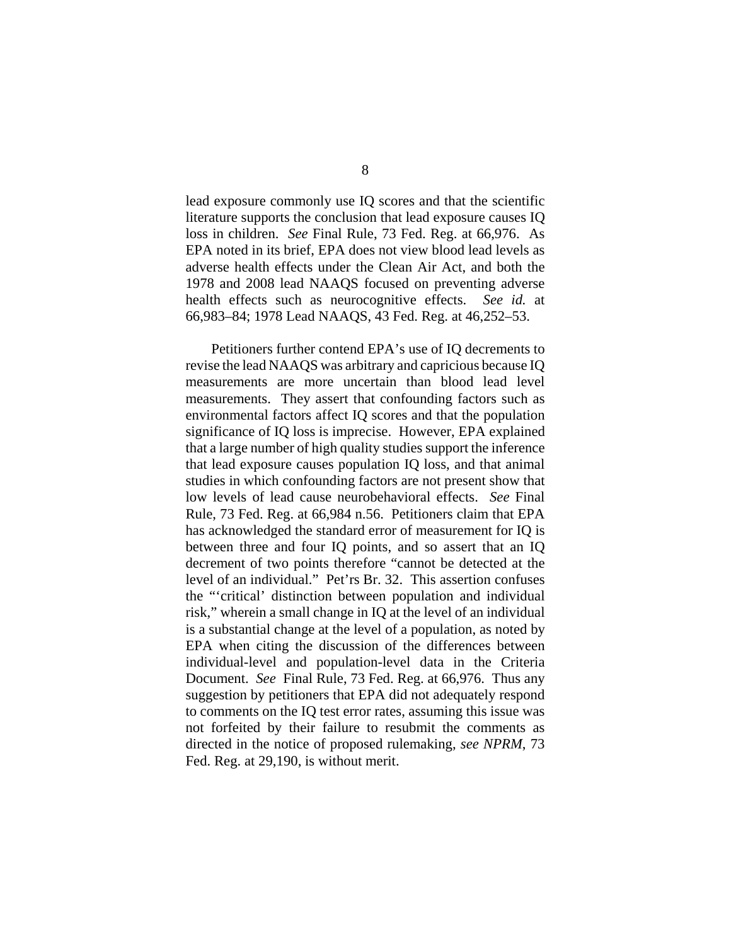lead exposure commonly use IQ scores and that the scientific literature supports the conclusion that lead exposure causes IQ loss in children. *See* Final Rule, 73 Fed. Reg. at 66,976. As EPA noted in its brief, EPA does not view blood lead levels as adverse health effects under the Clean Air Act, and both the 1978 and 2008 lead NAAQS focused on preventing adverse health effects such as neurocognitive effects. *See id.* at 66,983–84; 1978 Lead NAAQS, 43 Fed. Reg. at 46,252–53.

Petitioners further contend EPA's use of IQ decrements to revise the lead NAAQS was arbitrary and capricious because IQ measurements are more uncertain than blood lead level measurements. They assert that confounding factors such as environmental factors affect IQ scores and that the population significance of IQ loss is imprecise. However, EPA explained that a large number of high quality studies support the inference that lead exposure causes population IQ loss, and that animal studies in which confounding factors are not present show that low levels of lead cause neurobehavioral effects. *See* Final Rule, 73 Fed. Reg. at 66,984 n.56. Petitioners claim that EPA has acknowledged the standard error of measurement for IQ is between three and four IQ points, and so assert that an IQ decrement of two points therefore "cannot be detected at the level of an individual." Pet'rs Br. 32. This assertion confuses the "'critical' distinction between population and individual risk," wherein a small change in IQ at the level of an individual is a substantial change at the level of a population, as noted by EPA when citing the discussion of the differences between individual-level and population-level data in the Criteria Document. *See* Final Rule, 73 Fed. Reg. at 66,976. Thus any suggestion by petitioners that EPA did not adequately respond to comments on the IQ test error rates, assuming this issue was not forfeited by their failure to resubmit the comments as directed in the notice of proposed rulemaking, *see NPRM*, 73 Fed. Reg. at 29,190, is without merit.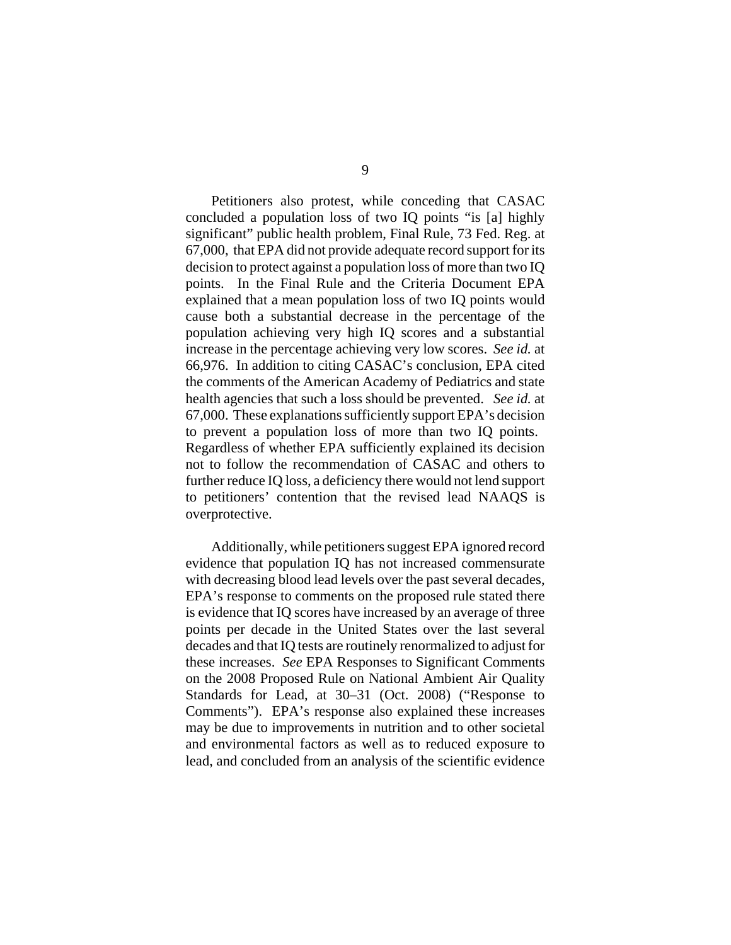Petitioners also protest, while conceding that CASAC concluded a population loss of two IQ points "is [a] highly significant" public health problem, Final Rule, 73 Fed. Reg. at 67,000, that EPA did not provide adequate record support for its decision to protect against a population loss of more than two IQ points. In the Final Rule and the Criteria Document EPA explained that a mean population loss of two IQ points would cause both a substantial decrease in the percentage of the population achieving very high IQ scores and a substantial increase in the percentage achieving very low scores. *See id.* at 66,976. In addition to citing CASAC's conclusion, EPA cited the comments of the American Academy of Pediatrics and state health agencies that such a loss should be prevented. *See id.* at 67,000. These explanations sufficiently support EPA's decision to prevent a population loss of more than two IQ points. Regardless of whether EPA sufficiently explained its decision not to follow the recommendation of CASAC and others to further reduce IQ loss, a deficiency there would not lend support to petitioners' contention that the revised lead NAAQS is overprotective.

Additionally, while petitioners suggest EPA ignored record evidence that population IQ has not increased commensurate with decreasing blood lead levels over the past several decades, EPA's response to comments on the proposed rule stated there is evidence that IQ scores have increased by an average of three points per decade in the United States over the last several decades and that IQ tests are routinely renormalized to adjust for these increases. *See* EPA Responses to Significant Comments on the 2008 Proposed Rule on National Ambient Air Quality Standards for Lead, at 30–31 (Oct. 2008) ("Response to Comments"). EPA's response also explained these increases may be due to improvements in nutrition and to other societal and environmental factors as well as to reduced exposure to lead, and concluded from an analysis of the scientific evidence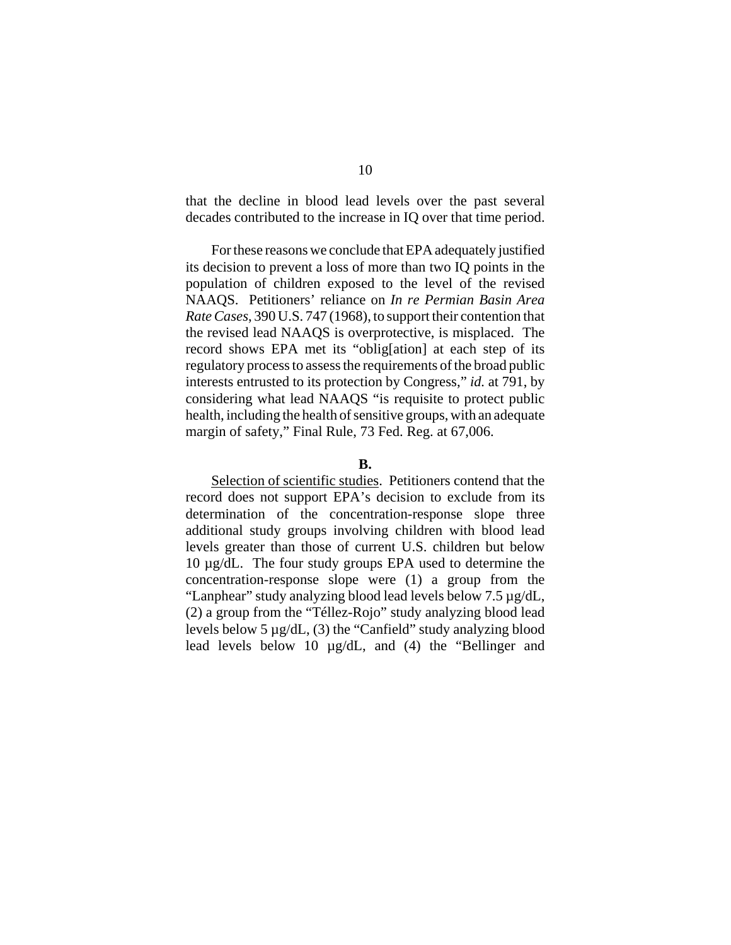that the decline in blood lead levels over the past several decades contributed to the increase in IQ over that time period.

For these reasons we conclude that EPA adequately justified its decision to prevent a loss of more than two IQ points in the population of children exposed to the level of the revised NAAQS. Petitioners' reliance on *In re Permian Basin Area Rate Cases*, 390 U.S. 747 (1968), to support their contention that the revised lead NAAQS is overprotective, is misplaced. The record shows EPA met its "oblig[ation] at each step of its regulatory process to assess the requirements of the broad public interests entrusted to its protection by Congress," *id.* at 791, by considering what lead NAAQS "is requisite to protect public health, including the health of sensitive groups, with an adequate margin of safety," Final Rule, 73 Fed. Reg. at 67,006.

### **B.**

Selection of scientific studies. Petitioners contend that the record does not support EPA's decision to exclude from its determination of the concentration-response slope three additional study groups involving children with blood lead levels greater than those of current U.S. children but below 10 µg/dL. The four study groups EPA used to determine the concentration-response slope were (1) a group from the "Lanphear" study analyzing blood lead levels below 7.5 µg/dL, (2) a group from the "Téllez-Rojo" study analyzing blood lead levels below 5 µg/dL, (3) the "Canfield" study analyzing blood lead levels below 10 µg/dL, and (4) the "Bellinger and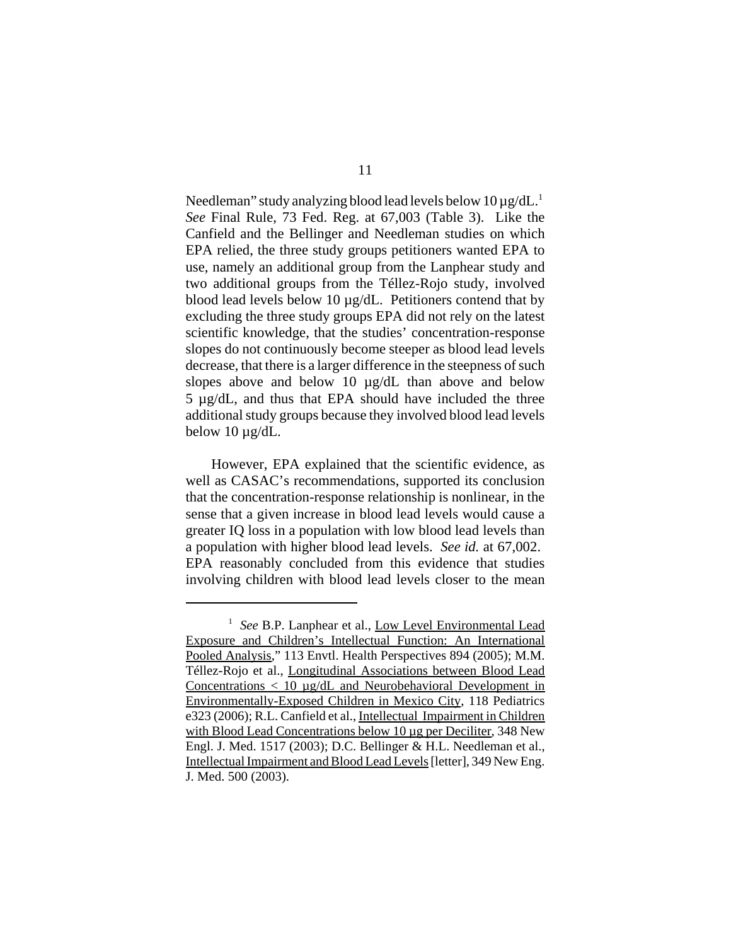Needleman" study analyzing blood lead levels below  $10 \mu$ g/dL.<sup>1</sup> *See* Final Rule, 73 Fed. Reg. at 67,003 (Table 3). Like the Canfield and the Bellinger and Needleman studies on which EPA relied, the three study groups petitioners wanted EPA to use, namely an additional group from the Lanphear study and two additional groups from the Téllez-Rojo study, involved blood lead levels below 10 µg/dL. Petitioners contend that by excluding the three study groups EPA did not rely on the latest scientific knowledge, that the studies' concentration-response slopes do not continuously become steeper as blood lead levels decrease, that there is a larger difference in the steepness of such slopes above and below 10 µg/dL than above and below 5 µg/dL, and thus that EPA should have included the three additional study groups because they involved blood lead levels below  $10 \mu g/dL$ .

However, EPA explained that the scientific evidence, as well as CASAC's recommendations, supported its conclusion that the concentration-response relationship is nonlinear, in the sense that a given increase in blood lead levels would cause a greater IQ loss in a population with low blood lead levels than a population with higher blood lead levels. *See id.* at 67,002. EPA reasonably concluded from this evidence that studies involving children with blood lead levels closer to the mean

<sup>&</sup>lt;sup>1</sup> See B.P. Lanphear et al., Low Level Environmental Lead Exposure and Children's Intellectual Function: An International Pooled Analysis," 113 Envtl. Health Perspectives 894 (2005); M.M. Téllez-Rojo et al., Longitudinal Associations between Blood Lead Concentrations  $\langle 10 \mu$ g/dL and Neurobehavioral Development in Environmentally-Exposed Children in Mexico City, 118 Pediatrics e323 (2006); R.L. Canfield et al., Intellectual Impairment in Children with Blood Lead Concentrations below 10 µg per Deciliter, 348 New Engl. J. Med. 1517 (2003); D.C. Bellinger & H.L. Needleman et al., Intellectual Impairment and Blood Lead Levels [letter], 349 New Eng. J. Med. 500 (2003).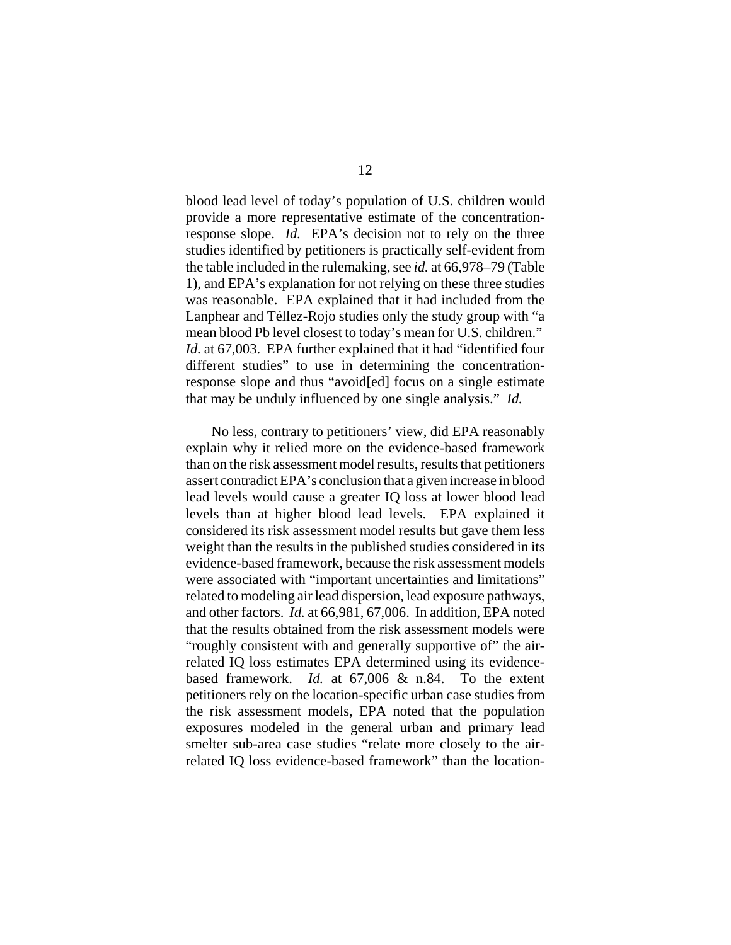blood lead level of today's population of U.S. children would provide a more representative estimate of the concentrationresponse slope. *Id.* EPA's decision not to rely on the three studies identified by petitioners is practically self-evident from the table included in the rulemaking, see *id.* at 66,978–79 (Table 1), and EPA's explanation for not relying on these three studies was reasonable. EPA explained that it had included from the Lanphear and Téllez-Rojo studies only the study group with "a mean blood Pb level closest to today's mean for U.S. children." *Id.* at 67,003. EPA further explained that it had "identified four different studies" to use in determining the concentrationresponse slope and thus "avoid[ed] focus on a single estimate that may be unduly influenced by one single analysis." *Id.*

No less, contrary to petitioners' view, did EPA reasonably explain why it relied more on the evidence-based framework than on the risk assessment model results, results that petitioners assert contradict EPA's conclusion that a given increase in blood lead levels would cause a greater IQ loss at lower blood lead levels than at higher blood lead levels. EPA explained it considered its risk assessment model results but gave them less weight than the results in the published studies considered in its evidence-based framework, because the risk assessment models were associated with "important uncertainties and limitations" related to modeling air lead dispersion, lead exposure pathways, and other factors. *Id.* at 66,981, 67,006. In addition, EPA noted that the results obtained from the risk assessment models were "roughly consistent with and generally supportive of" the airrelated IQ loss estimates EPA determined using its evidencebased framework. *Id.* at 67,006 & n.84. To the extent petitioners rely on the location-specific urban case studies from the risk assessment models, EPA noted that the population exposures modeled in the general urban and primary lead smelter sub-area case studies "relate more closely to the airrelated IQ loss evidence-based framework" than the location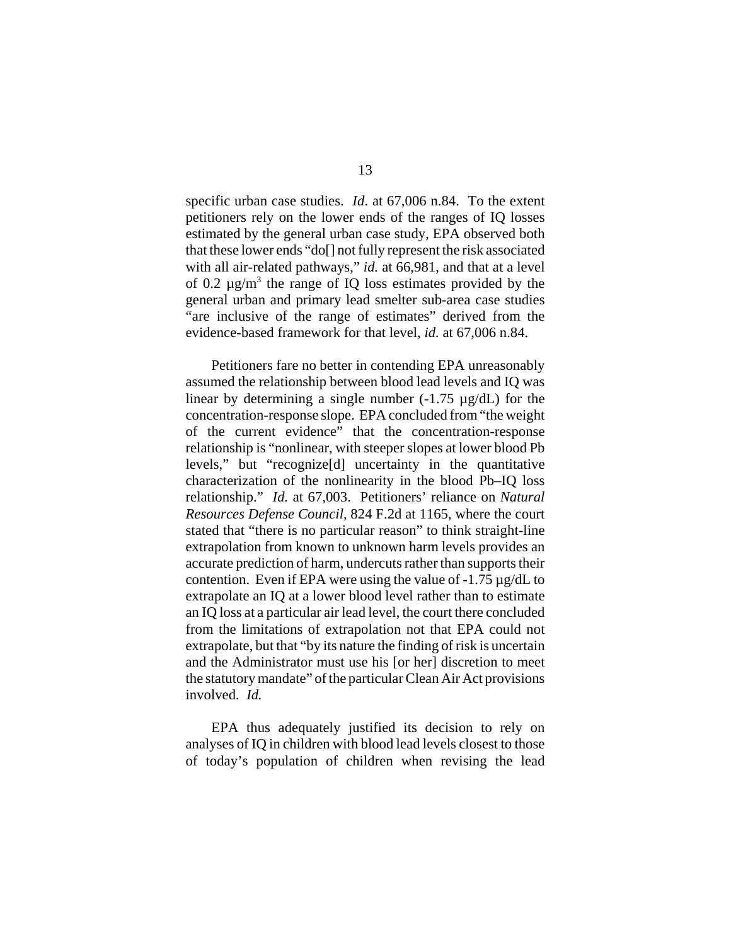specific urban case studies. *Id*. at 67,006 n.84. To the extent petitioners rely on the lower ends of the ranges of IQ losses estimated by the general urban case study, EPA observed both that these lower ends "do[] not fully represent the risk associated with all air-related pathways," *id.* at 66,981, and that at a level of 0.2  $\mu$ g/m<sup>3</sup> the range of IQ loss estimates provided by the general urban and primary lead smelter sub-area case studies "are inclusive of the range of estimates" derived from the evidence-based framework for that level, *id.* at 67,006 n.84.

Petitioners fare no better in contending EPA unreasonably assumed the relationship between blood lead levels and IQ was linear by determining a single number  $(-1.75 \mu g/dL)$  for the concentration-response slope. EPA concluded from "the weight of the current evidence" that the concentration-response relationship is "nonlinear, with steeper slopes at lower blood Pb levels," but "recognize[d] uncertainty in the quantitative characterization of the nonlinearity in the blood Pb–IQ loss relationship." *Id.* at 67,003. Petitioners' reliance on *Natural Resources Defense Council*, 824 F.2d at 1165, where the court stated that "there is no particular reason" to think straight-line extrapolation from known to unknown harm levels provides an accurate prediction of harm, undercuts rather than supports their contention. Even if EPA were using the value of  $-1.75 \mu g/dL$  to extrapolate an IQ at a lower blood level rather than to estimate an IQ loss at a particular air lead level, the court there concluded from the limitations of extrapolation not that EPA could not extrapolate, but that "by its nature the finding of risk is uncertain and the Administrator must use his [or her] discretion to meet the statutory mandate" of the particular Clean Air Act provisions involved. *Id.*

EPA thus adequately justified its decision to rely on analyses of IQ in children with blood lead levels closest to those of today's population of children when revising the lead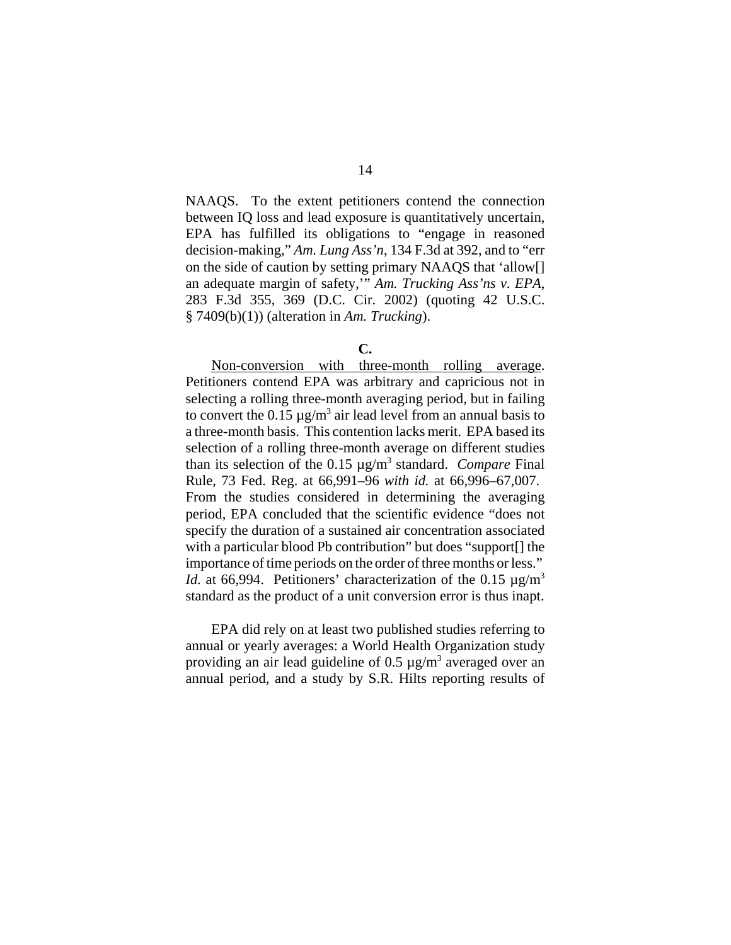NAAQS. To the extent petitioners contend the connection between IQ loss and lead exposure is quantitatively uncertain, EPA has fulfilled its obligations to "engage in reasoned decision-making," *Am. Lung Ass'n*, 134 F.3d at 392, and to "err on the side of caution by setting primary NAAQS that 'allow[] an adequate margin of safety,'" *Am. Trucking Ass'ns v. EPA*, 283 F.3d 355, 369 (D.C. Cir. 2002) (quoting 42 U.S.C. § 7409(b)(1)) (alteration in *Am. Trucking*).

Non-conversion with three-month rolling average. Petitioners contend EPA was arbitrary and capricious not in selecting a rolling three-month averaging period, but in failing to convert the  $0.15 \mu g/m^3$  air lead level from an annual basis to a three-month basis. This contention lacks merit. EPA based its selection of a rolling three-month average on different studies than its selection of the 0.15 µg/m<sup>3</sup> standard. *Compare* Final Rule, 73 Fed. Reg. at 66,991–96 *with id.* at 66,996–67,007. From the studies considered in determining the averaging period, EPA concluded that the scientific evidence "does not specify the duration of a sustained air concentration associated with a particular blood Pb contribution" but does "support[] the importance of time periods on the order of three months or less." *Id.* at 66,994. Petitioners' characterization of the 0.15  $\mu$ g/m<sup>3</sup> standard as the product of a unit conversion error is thus inapt.

EPA did rely on at least two published studies referring to annual or yearly averages: a World Health Organization study providing an air lead guideline of  $0.5 \mu$ g/m<sup>3</sup> averaged over an annual period, and a study by S.R. Hilts reporting results of

**C.**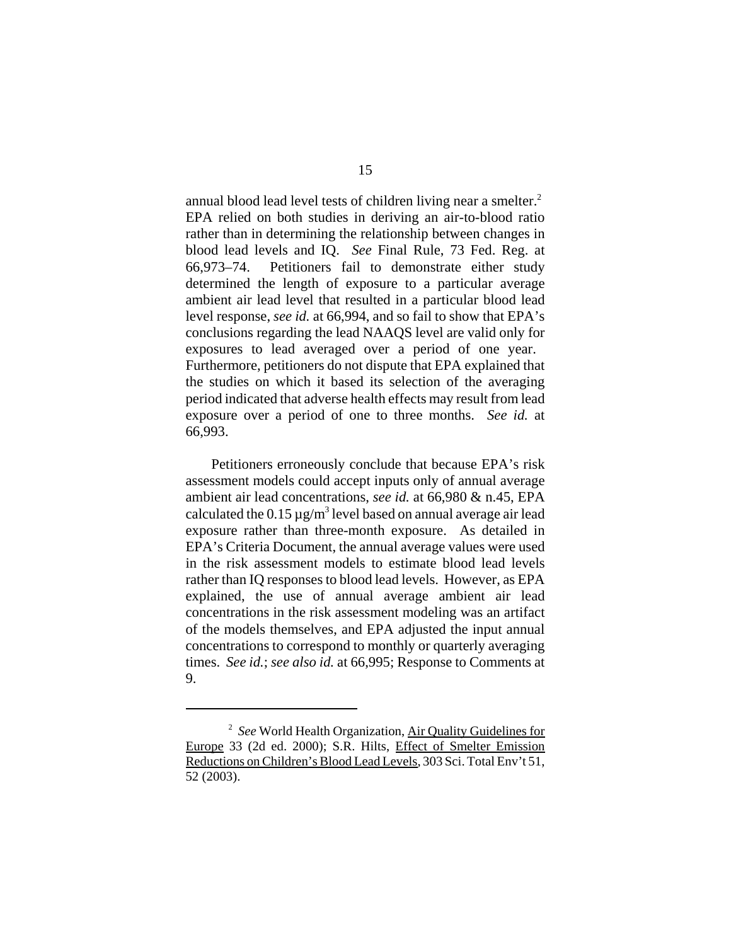annual blood lead level tests of children living near a smelter.<sup>2</sup> EPA relied on both studies in deriving an air-to-blood ratio rather than in determining the relationship between changes in blood lead levels and IQ. *See* Final Rule, 73 Fed. Reg. at 66,973–74. Petitioners fail to demonstrate either study determined the length of exposure to a particular average ambient air lead level that resulted in a particular blood lead level response, *see id.* at 66,994, and so fail to show that EPA's conclusions regarding the lead NAAQS level are valid only for exposures to lead averaged over a period of one year. Furthermore, petitioners do not dispute that EPA explained that the studies on which it based its selection of the averaging period indicated that adverse health effects may result from lead exposure over a period of one to three months. *See id.* at 66,993.

Petitioners erroneously conclude that because EPA's risk assessment models could accept inputs only of annual average ambient air lead concentrations, *see id.* at 66,980 & n.45, EPA calculated the  $0.15 \,\mathrm{\mu g/m^3}$  level based on annual average air lead exposure rather than three-month exposure. As detailed in EPA's Criteria Document, the annual average values were used in the risk assessment models to estimate blood lead levels rather than IQ responses to blood lead levels. However, as EPA explained, the use of annual average ambient air lead concentrations in the risk assessment modeling was an artifact of the models themselves, and EPA adjusted the input annual concentrations to correspond to monthly or quarterly averaging times. *See id.*; *see also id.* at 66,995; Response to Comments at 9.

<sup>2</sup> *See* World Health Organization, Air Quality Guidelines for Europe 33 (2d ed. 2000); S.R. Hilts, Effect of Smelter Emission Reductions on Children's Blood Lead Levels, 303 Sci. Total Env't 51, 52 (2003).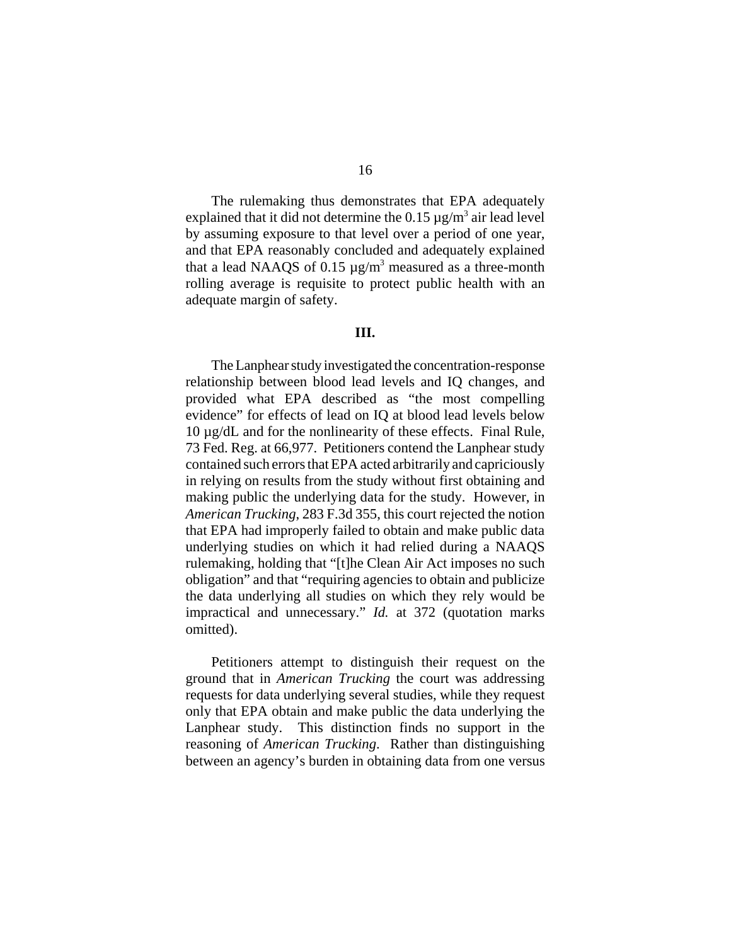The rulemaking thus demonstrates that EPA adequately explained that it did not determine the  $0.15 \,\mathrm{\upmu}\mathrm{g/m^3}$  air lead level by assuming exposure to that level over a period of one year, and that EPA reasonably concluded and adequately explained that a lead NAAQS of 0.15  $\mu$ g/m<sup>3</sup> measured as a three-month rolling average is requisite to protect public health with an adequate margin of safety.

## **III.**

The Lanphear study investigated the concentration-response relationship between blood lead levels and IQ changes, and provided what EPA described as "the most compelling evidence" for effects of lead on IQ at blood lead levels below 10 µg/dL and for the nonlinearity of these effects. Final Rule, 73 Fed. Reg. at 66,977. Petitioners contend the Lanphear study contained such errors that EPA acted arbitrarily and capriciously in relying on results from the study without first obtaining and making public the underlying data for the study. However, in *American Trucking*, 283 F.3d 355, this court rejected the notion that EPA had improperly failed to obtain and make public data underlying studies on which it had relied during a NAAQS rulemaking, holding that "[t]he Clean Air Act imposes no such obligation" and that "requiring agencies to obtain and publicize the data underlying all studies on which they rely would be impractical and unnecessary." *Id.* at 372 (quotation marks omitted).

Petitioners attempt to distinguish their request on the ground that in *American Trucking* the court was addressing requests for data underlying several studies, while they request only that EPA obtain and make public the data underlying the Lanphear study. This distinction finds no support in the reasoning of *American Trucking*. Rather than distinguishing between an agency's burden in obtaining data from one versus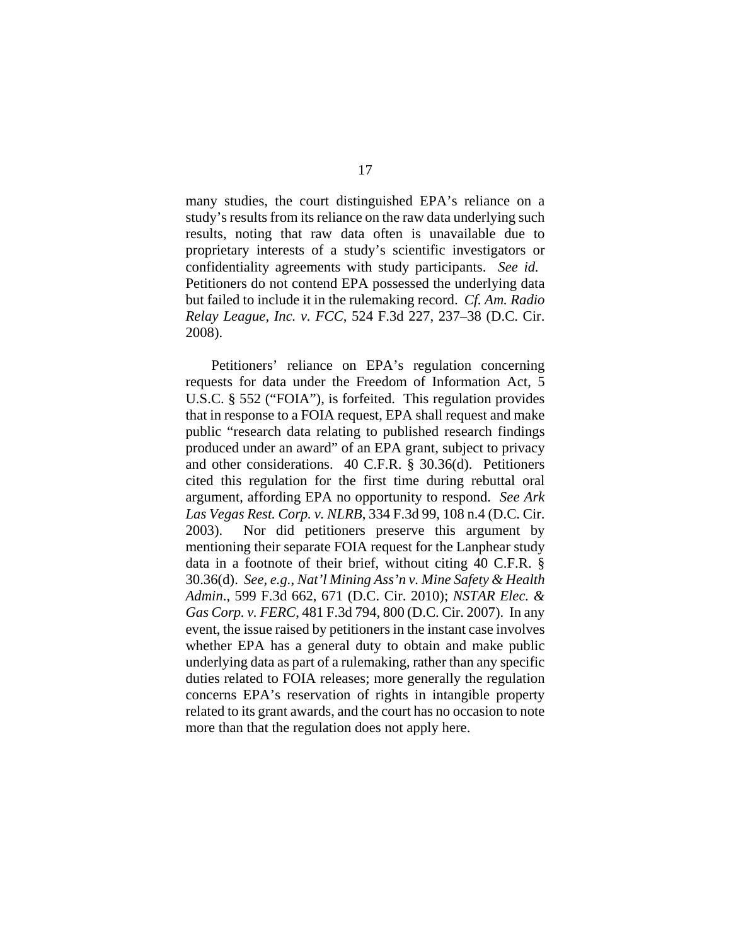many studies, the court distinguished EPA's reliance on a study's results from its reliance on the raw data underlying such results, noting that raw data often is unavailable due to proprietary interests of a study's scientific investigators or confidentiality agreements with study participants. *See id.* Petitioners do not contend EPA possessed the underlying data but failed to include it in the rulemaking record. *Cf. Am. Radio Relay League, Inc. v. FCC*, 524 F.3d 227, 237–38 (D.C. Cir. 2008).

Petitioners' reliance on EPA's regulation concerning requests for data under the Freedom of Information Act, 5 U.S.C. § 552 ("FOIA"), is forfeited. This regulation provides that in response to a FOIA request, EPA shall request and make public "research data relating to published research findings produced under an award" of an EPA grant, subject to privacy and other considerations. 40 C.F.R. § 30.36(d). Petitioners cited this regulation for the first time during rebuttal oral argument, affording EPA no opportunity to respond. *See Ark Las Vegas Rest. Corp. v. NLRB*, 334 F.3d 99, 108 n.4 (D.C. Cir. 2003). Nor did petitioners preserve this argument by mentioning their separate FOIA request for the Lanphear study data in a footnote of their brief, without citing 40 C.F.R. § 30.36(d). *See, e.g.*, *Nat'l Mining Ass'n v. Mine Safety & Health Admin*., 599 F.3d 662, 671 (D.C. Cir. 2010); *NSTAR Elec. & Gas Corp. v. FERC*, 481 F.3d 794, 800 (D.C. Cir. 2007). In any event, the issue raised by petitioners in the instant case involves whether EPA has a general duty to obtain and make public underlying data as part of a rulemaking, rather than any specific duties related to FOIA releases; more generally the regulation concerns EPA's reservation of rights in intangible property related to its grant awards, and the court has no occasion to note more than that the regulation does not apply here.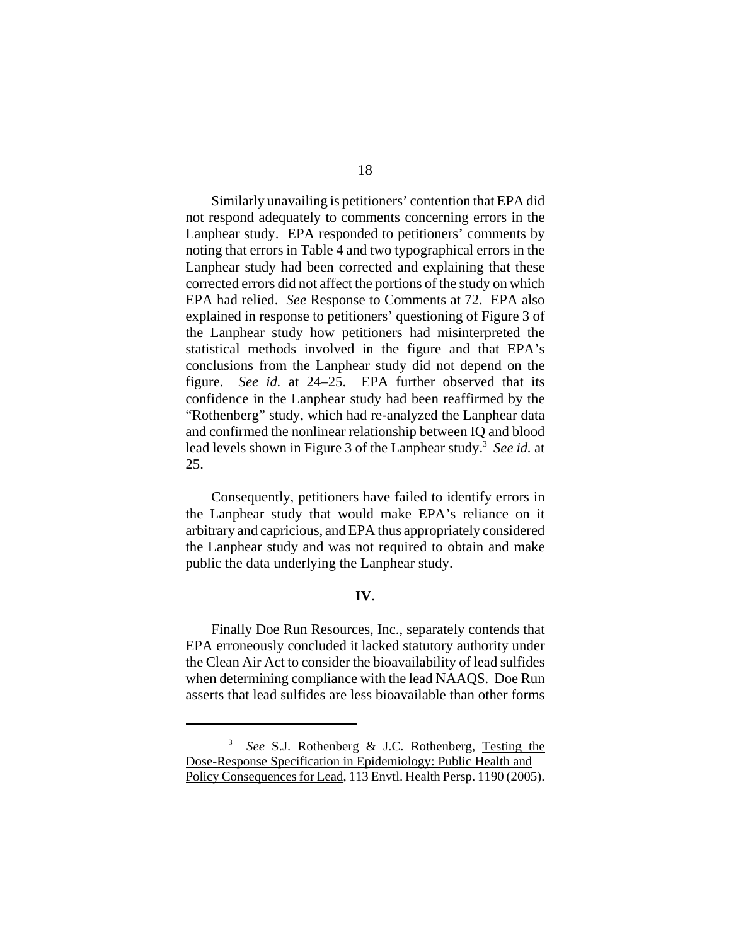Similarly unavailing is petitioners' contention that EPA did not respond adequately to comments concerning errors in the Lanphear study. EPA responded to petitioners' comments by noting that errors in Table 4 and two typographical errors in the Lanphear study had been corrected and explaining that these corrected errors did not affect the portions of the study on which EPA had relied. *See* Response to Comments at 72. EPA also explained in response to petitioners' questioning of Figure 3 of the Lanphear study how petitioners had misinterpreted the statistical methods involved in the figure and that EPA's conclusions from the Lanphear study did not depend on the figure. *See id.* at 24–25. EPA further observed that its confidence in the Lanphear study had been reaffirmed by the "Rothenberg" study, which had re-analyzed the Lanphear data and confirmed the nonlinear relationship between IQ and blood lead levels shown in Figure 3 of the Lanphear study.<sup>3</sup> See id. at 25.

Consequently, petitioners have failed to identify errors in the Lanphear study that would make EPA's reliance on it arbitrary and capricious, and EPA thus appropriately considered the Lanphear study and was not required to obtain and make public the data underlying the Lanphear study.

### **IV.**

Finally Doe Run Resources, Inc., separately contends that EPA erroneously concluded it lacked statutory authority under the Clean Air Act to consider the bioavailability of lead sulfides when determining compliance with the lead NAAQS. Doe Run asserts that lead sulfides are less bioavailable than other forms

<sup>3</sup> *See* S.J. Rothenberg & J.C. Rothenberg, Testing the Dose-Response Specification in Epidemiology: Public Health and Policy Consequences for Lead, 113 Envtl. Health Persp. 1190 (2005).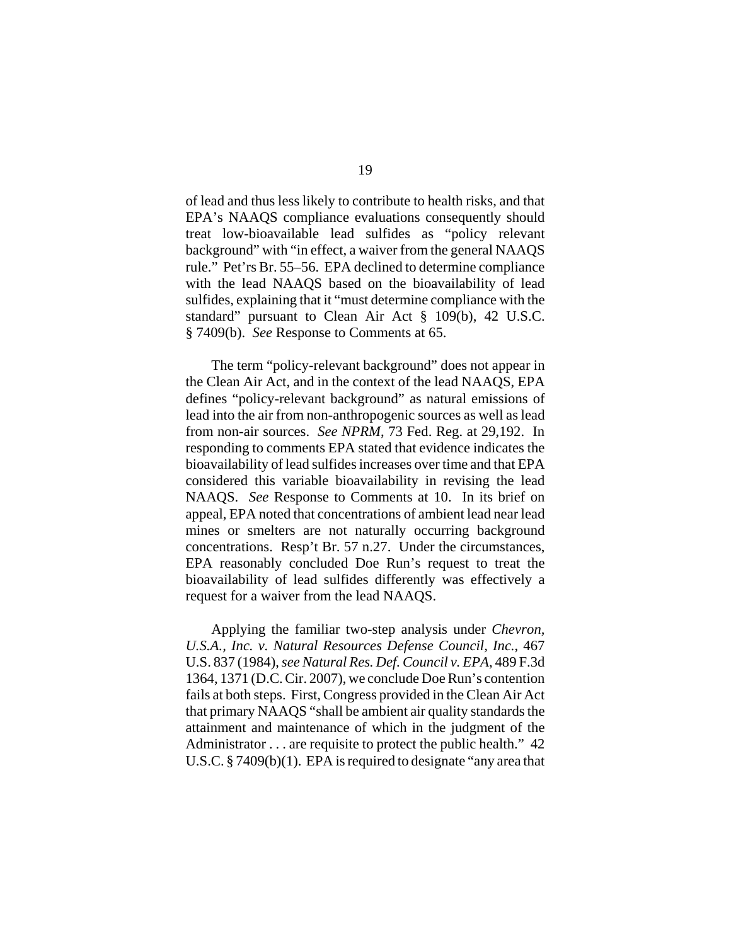of lead and thus less likely to contribute to health risks, and that EPA's NAAQS compliance evaluations consequently should treat low-bioavailable lead sulfides as "policy relevant background" with "in effect, a waiver from the general NAAQS rule." Pet'rs Br. 55–56. EPA declined to determine compliance with the lead NAAQS based on the bioavailability of lead sulfides, explaining that it "must determine compliance with the standard" pursuant to Clean Air Act § 109(b), 42 U.S.C. § 7409(b). *See* Response to Comments at 65.

The term "policy-relevant background" does not appear in the Clean Air Act, and in the context of the lead NAAQS, EPA defines "policy-relevant background" as natural emissions of lead into the air from non-anthropogenic sources as well as lead from non-air sources. *See NPRM*, 73 Fed. Reg. at 29,192. In responding to comments EPA stated that evidence indicates the bioavailability of lead sulfides increases over time and that EPA considered this variable bioavailability in revising the lead NAAQS. *See* Response to Comments at 10. In its brief on appeal, EPA noted that concentrations of ambient lead near lead mines or smelters are not naturally occurring background concentrations. Resp't Br. 57 n.27. Under the circumstances, EPA reasonably concluded Doe Run's request to treat the bioavailability of lead sulfides differently was effectively a request for a waiver from the lead NAAQS.

Applying the familiar two-step analysis under *Chevron, U.S.A., Inc. v. Natural Resources Defense Council, Inc.*, 467 U.S. 837 (1984), *seeNatural Res. Def. Council v. EPA*, 489 F.3d 1364, 1371 (D.C. Cir. 2007), we conclude Doe Run's contention fails at both steps. First, Congress provided in the Clean Air Act that primary NAAQS "shall be ambient air quality standards the attainment and maintenance of which in the judgment of the Administrator . . . are requisite to protect the public health." 42 U.S.C. § 7409(b)(1). EPA is required to designate "any area that